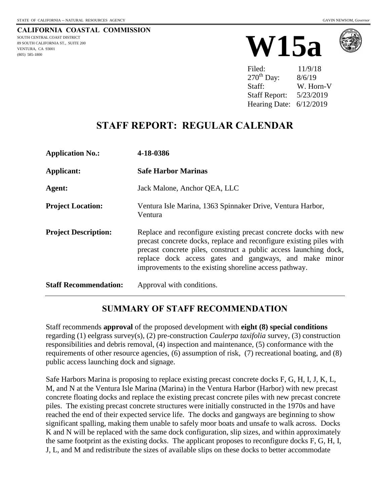#### **CALIFORNIA COASTAL COMMISSION** SOUTH CENTRAL COAST DISTRICT 89 SOUTH CALIFORNIA ST., SUITE 200 VENTURA, CA 93001 (805) 585-1800





| Filed:               | 11/9/18   |
|----------------------|-----------|
| $270th$ Day:         | 8/6/19    |
| Staff:               | W. Horn-V |
| <b>Staff Report:</b> | 5/23/2019 |
| Hearing Date:        | 6/12/2019 |

## **STAFF REPORT: REGULAR CALENDAR**

| <b>Application No.:</b>      | 4-18-0386                                                                                                                                                                                                                                                                                                                        |
|------------------------------|----------------------------------------------------------------------------------------------------------------------------------------------------------------------------------------------------------------------------------------------------------------------------------------------------------------------------------|
| <b>Applicant:</b>            | <b>Safe Harbor Marinas</b>                                                                                                                                                                                                                                                                                                       |
| Agent:                       | Jack Malone, Anchor QEA, LLC                                                                                                                                                                                                                                                                                                     |
| <b>Project Location:</b>     | Ventura Isle Marina, 1363 Spinnaker Drive, Ventura Harbor,<br>Ventura                                                                                                                                                                                                                                                            |
| <b>Project Description:</b>  | Replace and reconfigure existing precast concrete docks with new<br>precast concrete docks, replace and reconfigure existing piles with<br>precast concrete piles, construct a public access launching dock,<br>replace dock access gates and gangways, and make minor<br>improvements to the existing shoreline access pathway. |
| <b>Staff Recommendation:</b> | Approval with conditions.                                                                                                                                                                                                                                                                                                        |

### **SUMMARY OF STAFF RECOMMENDATION**

Staff recommends **approval** of the proposed development with **eight (8) special conditions** regarding (1) eelgrass survey(s), (2) pre-construction *Caulerpa taxifolia* survey, (3) construction responsibilities and debris removal, (4) inspection and maintenance, (5) conformance with the requirements of other resource agencies, (6) assumption of risk, (7) recreational boating, and (8) public access launching dock and signage.

Safe Harbors Marina is proposing to replace existing precast concrete docks F, G, H, I, J, K, L, M, and N at the Ventura Isle Marina (Marina) in the Ventura Harbor (Harbor) with new precast concrete floating docks and replace the existing precast concrete piles with new precast concrete piles. The existing precast concrete structures were initially constructed in the 1970s and have reached the end of their expected service life. The docks and gangways are beginning to show significant spalling, making them unable to safely moor boats and unsafe to walk across. Docks K and N will be replaced with the same dock configuration, slip sizes, and within approximately the same footprint as the existing docks. The applicant proposes to reconfigure docks F, G, H, I, J, L, and M and redistribute the sizes of available slips on these docks to better accommodate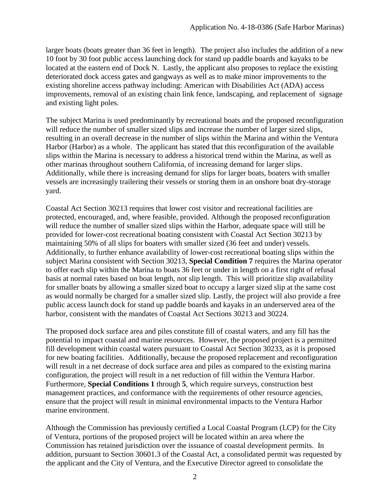larger boats (boats greater than 36 feet in length). The project also includes the addition of a new 10 foot by 30 foot public access launching dock for stand up paddle boards and kayaks to be located at the eastern end of Dock N. Lastly, the applicant also proposes to replace the existing deteriorated dock access gates and gangways as well as to make minor improvements to the existing shoreline access pathway including: American with Disabilities Act (ADA) access improvements, removal of an existing chain link fence, landscaping, and replacement of signage and existing light poles.

The subject Marina is used predominantly by recreational boats and the proposed reconfiguration will reduce the number of smaller sized slips and increase the number of larger sized slips, resulting in an overall decrease in the number of slips within the Marina and within the Ventura Harbor (Harbor) as a whole. The applicant has stated that this reconfiguration of the available slips within the Marina is necessary to address a historical trend within the Marina, as well as other marinas throughout southern California, of increasing demand for larger slips. Additionally, while there is increasing demand for slips for larger boats, boaters with smaller vessels are increasingly trailering their vessels or storing them in an onshore boat dry-storage yard.

Coastal Act Section 30213 requires that lower cost visitor and recreational facilities are protected, encouraged, and, where feasible, provided. Although the proposed reconfiguration will reduce the number of smaller sized slips within the Harbor, adequate space will still be provided for lower-cost recreational boating consistent with Coastal Act Section 30213 by maintaining 50% of all slips for boaters with smaller sized (36 feet and under) vessels. Additionally, to further enhance availability of lower-cost recreational boating slips within the subject Marina consistent with Section 30213, **Special Condition 7** requires the Marina operator to offer each slip within the Marina to boats 36 feet or under in length on a first right of refusal basis at normal rates based on boat length, not slip length. This will prioritize slip availability for smaller boats by allowing a smaller sized boat to occupy a larger sized slip at the same cost as would normally be charged for a smaller sized slip. Lastly, the project will also provide a free public access launch dock for stand up paddle boards and kayaks in an underserved area of the harbor, consistent with the mandates of Coastal Act Sections 30213 and 30224.

The proposed dock surface area and piles constitute fill of coastal waters, and any fill has the potential to impact coastal and marine resources. However, the proposed project is a permitted fill development within coastal waters pursuant to Coastal Act Section 30233, as it is proposed for new boating facilities. Additionally, because the proposed replacement and reconfiguration will result in a net decrease of dock surface area and piles as compared to the existing marina configuration, the project will result in a net reduction of fill within the Ventura Harbor. Furthermore, **Special Conditions 1** through **5**, which require surveys, construction best management practices, and conformance with the requirements of other resource agencies, ensure that the project will result in minimal environmental impacts to the Ventura Harbor marine environment.

Although the Commission has previously certified a Local Coastal Program (LCP) for the City of Ventura, portions of the proposed project will be located within an area where the Commission has retained jurisdiction over the issuance of coastal development permits. In addition, pursuant to Section 30601.3 of the Coastal Act, a consolidated permit was requested by the applicant and the City of Ventura, and the Executive Director agreed to consolidate the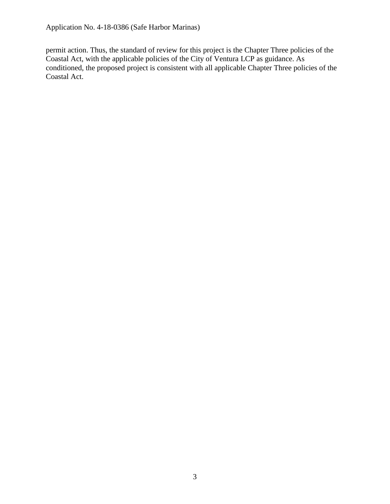permit action. Thus, the standard of review for this project is the Chapter Three policies of the Coastal Act, with the applicable policies of the City of Ventura LCP as guidance. As conditioned, the proposed project is consistent with all applicable Chapter Three policies of the Coastal Act.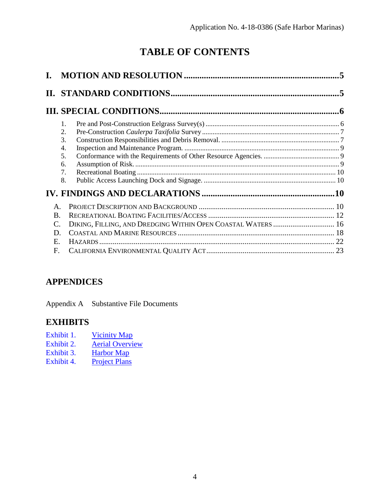# **TABLE OF CONTENTS**

|                                                        | $\mathbf{1}$ .<br>$\overline{2}$ .<br>3.<br>4.<br>5.<br>6.<br>7.<br>8. |  |
|--------------------------------------------------------|------------------------------------------------------------------------|--|
| $\mathbf{A}$<br>B.<br>D<br>$E_{\rm{L}}$<br>$F_{\cdot}$ | DIKING, FILLING, AND DREDGING WITHIN OPEN COASTAL WATERS  16           |  |

### **APPENDICES**

Appendix A [Substantive File Documents](#page-23-0)

### **EXHIBITS**

- Exhibit 1. [Vicinity Map](https://documents.coastal.ca.gov/reports/2019/6/W15a/W15a-6-2019-exhibits.pdf)
- Exhibit 2. [Aerial Overview](https://documents.coastal.ca.gov/reports/2019/6/W15a/W15a-6-2019-exhibits.pdf)<br>Exhibit 3. Harbor Map
- [Exhibit 3.](https://documents.coastal.ca.gov/reports/2019/6/W15a/W15a-6-2019-exhibits.pdf) Harbor Map<br>Exhibit 4. Project Plans
- [Project Plans](https://documents.coastal.ca.gov/reports/2019/6/W15a/W15a-6-2019-exhibits.pdf)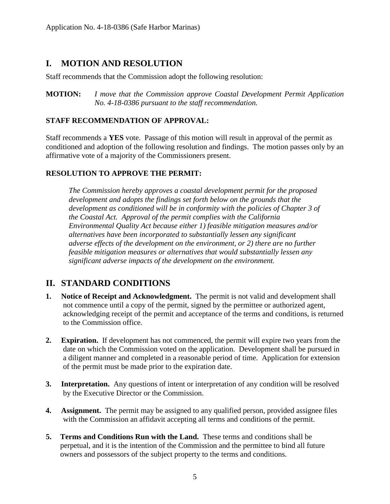### <span id="page-4-0"></span>**I. MOTION AND RESOLUTION**

Staff recommends that the Commission adopt the following resolution:

**MOTION:** *I move that the Commission approve Coastal Development Permit Application No. 4-18-0386 pursuant to the staff recommendation.*

#### **STAFF RECOMMENDATION OF APPROVAL:**

Staff recommends a **YES** vote. Passage of this motion will result in approval of the permit as conditioned and adoption of the following resolution and findings. The motion passes only by an affirmative vote of a majority of the Commissioners present.

#### **RESOLUTION TO APPROVE THE PERMIT:**

*The Commission hereby approves a coastal development permit for the proposed development and adopts the findings set forth below on the grounds that the development as conditioned will be in conformity with the policies of Chapter 3 of the Coastal Act. Approval of the permit complies with the California Environmental Quality Act because either 1) feasible mitigation measures and/or alternatives have been incorporated to substantially lessen any significant adverse effects of the development on the environment, or 2) there are no further feasible mitigation measures or alternatives that would substantially lessen any significant adverse impacts of the development on the environment.*

### <span id="page-4-1"></span>**II. STANDARD CONDITIONS**

- **1. Notice of Receipt and Acknowledgment.** The permit is not valid and development shall not commence until a copy of the permit, signed by the permittee or authorized agent, acknowledging receipt of the permit and acceptance of the terms and conditions, is returned to the Commission office.
- **2. Expiration.** If development has not commenced, the permit will expire two years from the date on which the Commission voted on the application. Development shall be pursued in a diligent manner and completed in a reasonable period of time. Application for extension of the permit must be made prior to the expiration date.
- **3. Interpretation.** Any questions of intent or interpretation of any condition will be resolved by the Executive Director or the Commission.
- **4. Assignment.** The permit may be assigned to any qualified person, provided assignee files with the Commission an affidavit accepting all terms and conditions of the permit.
- **5. Terms and Conditions Run with the Land.** These terms and conditions shall be perpetual, and it is the intention of the Commission and the permittee to bind all future owners and possessors of the subject property to the terms and conditions.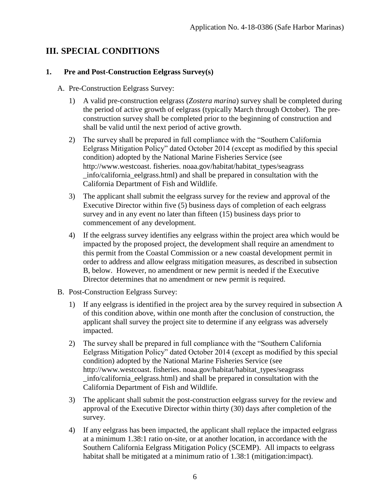### <span id="page-5-0"></span>**III. SPECIAL CONDITIONS**

#### <span id="page-5-1"></span>**1. Pre and Post-Construction Eelgrass Survey(s)**

- A. Pre-Construction Eelgrass Survey:
	- 1) A valid pre-construction eelgrass (*Zostera marina*) survey shall be completed during the period of active growth of eelgrass (typically March through October). The preconstruction survey shall be completed prior to the beginning of construction and shall be valid until the next period of active growth.
	- 2) The survey shall be prepared in full compliance with the "Southern California Eelgrass Mitigation Policy" dated October 2014 (except as modified by this special condition) adopted by the National Marine Fisheries Service (see http://www.westcoast. fisheries. noaa.gov/habitat/habitat\_types/seagrass \_info/california\_eelgrass.html) and shall be prepared in consultation with the California Department of Fish and Wildlife.
	- 3) The applicant shall submit the eelgrass survey for the review and approval of the Executive Director within five (5) business days of completion of each eelgrass survey and in any event no later than fifteen (15) business days prior to commencement of any development.
	- 4) If the eelgrass survey identifies any eelgrass within the project area which would be impacted by the proposed project, the development shall require an amendment to this permit from the Coastal Commission or a new coastal development permit in order to address and allow eelgrass mitigation measures, as described in subsection B, below. However, no amendment or new permit is needed if the Executive Director determines that no amendment or new permit is required.
- B. Post-Construction Eelgrass Survey:
	- 1) If any eelgrass is identified in the project area by the survey required in subsection A of this condition above, within one month after the conclusion of construction, the applicant shall survey the project site to determine if any eelgrass was adversely impacted.
	- 2) The survey shall be prepared in full compliance with the "Southern California Eelgrass Mitigation Policy" dated October 2014 (except as modified by this special condition) adopted by the National Marine Fisheries Service (see http://www.westcoast. fisheries. noaa.gov/habitat/habitat\_types/seagrass \_info/california\_eelgrass.html) and shall be prepared in consultation with the California Department of Fish and Wildlife.
	- 3) The applicant shall submit the post-construction eelgrass survey for the review and approval of the Executive Director within thirty (30) days after completion of the survey.
	- 4) If any eelgrass has been impacted, the applicant shall replace the impacted eelgrass at a minimum 1.38:1 ratio on-site, or at another location, in accordance with the Southern California Eelgrass Mitigation Policy (SCEMP). All impacts to eelgrass habitat shall be mitigated at a minimum ratio of 1.38:1 (mitigation: impact).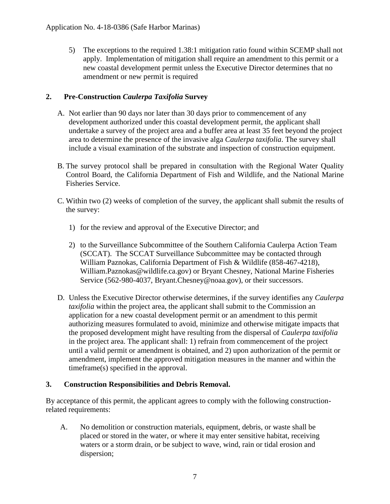5) The exceptions to the required 1.38:1 mitigation ratio found within SCEMP shall not apply. Implementation of mitigation shall require an amendment to this permit or a new coastal development permit unless the Executive Director determines that no amendment or new permit is required

#### <span id="page-6-0"></span>**2. Pre-Construction** *Caulerpa Taxifolia* **Survey**

- A. Not earlier than 90 days nor later than 30 days prior to commencement of any development authorized under this coastal development permit, the applicant shall undertake a survey of the project area and a buffer area at least 35 feet beyond the project area to determine the presence of the invasive alga *Caulerpa taxifolia*. The survey shall include a visual examination of the substrate and inspection of construction equipment.
- B. The survey protocol shall be prepared in consultation with the Regional Water Quality Control Board, the California Department of Fish and Wildlife, and the National Marine Fisheries Service.
- C. Within two (2) weeks of completion of the survey, the applicant shall submit the results of the survey:
	- 1) for the review and approval of the Executive Director; and
	- 2) to the Surveillance Subcommittee of the Southern California Caulerpa Action Team (SCCAT). The SCCAT Surveillance Subcommittee may be contacted through William Paznokas, California Department of Fish & Wildlife (858-467-4218), William.Paznokas@wildlife.ca.gov) or Bryant Chesney, National Marine Fisheries Service (562-980-4037, Bryant.Chesney@noaa.gov), or their successors.
- D. Unless the Executive Director otherwise determines, if the survey identifies any *Caulerpa taxifolia* within the project area, the applicant shall submit to the Commission an application for a new coastal development permit or an amendment to this permit authorizing measures formulated to avoid, minimize and otherwise mitigate impacts that the proposed development might have resulting from the dispersal of *Caulerpa taxifolia* in the project area. The applicant shall: 1) refrain from commencement of the project until a valid permit or amendment is obtained, and 2) upon authorization of the permit or amendment, implement the approved mitigation measures in the manner and within the timeframe(s) specified in the approval.

#### <span id="page-6-1"></span>**3. Construction Responsibilities and Debris Removal.**

By acceptance of this permit, the applicant agrees to comply with the following constructionrelated requirements:

A. No demolition or construction materials, equipment, debris, or waste shall be placed or stored in the water, or where it may enter sensitive habitat, receiving waters or a storm drain, or be subject to wave, wind, rain or tidal erosion and dispersion;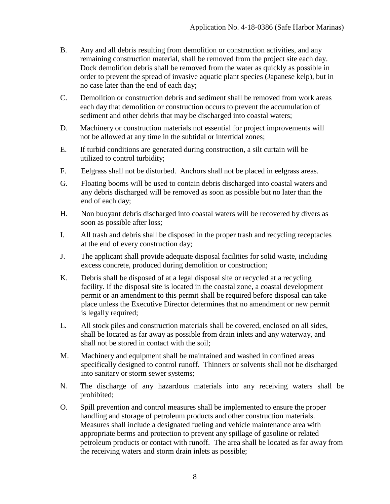- B. Any and all debris resulting from demolition or construction activities, and any remaining construction material, shall be removed from the project site each day. Dock demolition debris shall be removed from the water as quickly as possible in order to prevent the spread of invasive aquatic plant species (Japanese kelp), but in no case later than the end of each day;
- C. Demolition or construction debris and sediment shall be removed from work areas each day that demolition or construction occurs to prevent the accumulation of sediment and other debris that may be discharged into coastal waters;
- D. Machinery or construction materials not essential for project improvements will not be allowed at any time in the subtidal or intertidal zones;
- E. If turbid conditions are generated during construction, a silt curtain will be utilized to control turbidity;
- F. Eelgrass shall not be disturbed. Anchors shall not be placed in eelgrass areas.
- G. Floating booms will be used to contain debris discharged into coastal waters and any debris discharged will be removed as soon as possible but no later than the end of each day;
- H. Non buoyant debris discharged into coastal waters will be recovered by divers as soon as possible after loss;
- I. All trash and debris shall be disposed in the proper trash and recycling receptacles at the end of every construction day;
- J. The applicant shall provide adequate disposal facilities for solid waste, including excess concrete, produced during demolition or construction;
- K. Debris shall be disposed of at a legal disposal site or recycled at a recycling facility. If the disposal site is located in the coastal zone, a coastal development permit or an amendment to this permit shall be required before disposal can take place unless the Executive Director determines that no amendment or new permit is legally required;
- L. All stock piles and construction materials shall be covered, enclosed on all sides, shall be located as far away as possible from drain inlets and any waterway, and shall not be stored in contact with the soil;
- M. Machinery and equipment shall be maintained and washed in confined areas specifically designed to control runoff. Thinners or solvents shall not be discharged into sanitary or storm sewer systems;
- N. The discharge of any hazardous materials into any receiving waters shall be prohibited;
- O. Spill prevention and control measures shall be implemented to ensure the proper handling and storage of petroleum products and other construction materials. Measures shall include a designated fueling and vehicle maintenance area with appropriate berms and protection to prevent any spillage of gasoline or related petroleum products or contact with runoff. The area shall be located as far away from the receiving waters and storm drain inlets as possible;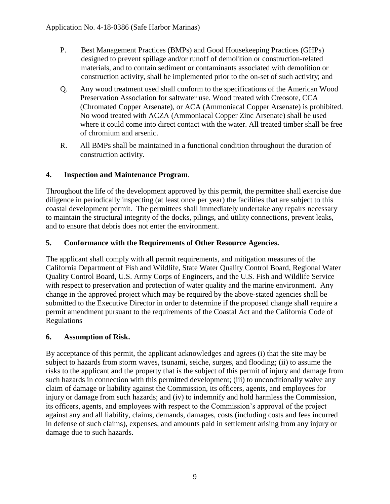- P. Best Management Practices (BMPs) and Good Housekeeping Practices (GHPs) designed to prevent spillage and/or runoff of demolition or construction-related materials, and to contain sediment or contaminants associated with demolition or construction activity, shall be implemented prior to the on-set of such activity; and
- Q. Any wood treatment used shall conform to the specifications of the American Wood Preservation Association for saltwater use. Wood treated with Creosote, CCA (Chromated Copper Arsenate), or ACA (Ammoniacal Copper Arsenate) is prohibited. No wood treated with ACZA (Ammoniacal Copper Zinc Arsenate) shall be used where it could come into direct contact with the water. All treated timber shall be free of chromium and arsenic.
- R. All BMPs shall be maintained in a functional condition throughout the duration of construction activity.

#### <span id="page-8-0"></span>**4. Inspection and Maintenance Program**.

Throughout the life of the development approved by this permit, the permittee shall exercise due diligence in periodically inspecting (at least once per year) the facilities that are subject to this coastal development permit. The permittees shall immediately undertake any repairs necessary to maintain the structural integrity of the docks, pilings, and utility connections, prevent leaks, and to ensure that debris does not enter the environment.

#### <span id="page-8-1"></span>**5. Conformance with the Requirements of Other Resource Agencies.**

The applicant shall comply with all permit requirements, and mitigation measures of the California Department of Fish and Wildlife, State Water Quality Control Board, Regional Water Quality Control Board, U.S. Army Corps of Engineers, and the U.S. Fish and Wildlife Service with respect to preservation and protection of water quality and the marine environment. Any change in the approved project which may be required by the above-stated agencies shall be submitted to the Executive Director in order to determine if the proposed change shall require a permit amendment pursuant to the requirements of the Coastal Act and the California Code of Regulations

#### <span id="page-8-2"></span>**6. Assumption of Risk.**

By acceptance of this permit, the applicant acknowledges and agrees (i) that the site may be subject to hazards from storm waves, tsunami, seiche, surges, and flooding; (ii) to assume the risks to the applicant and the property that is the subject of this permit of injury and damage from such hazards in connection with this permitted development; (iii) to unconditionally waive any claim of damage or liability against the Commission, its officers, agents, and employees for injury or damage from such hazards; and (iv) to indemnify and hold harmless the Commission, its officers, agents, and employees with respect to the Commission's approval of the project against any and all liability, claims, demands, damages, costs (including costs and fees incurred in defense of such claims), expenses, and amounts paid in settlement arising from any injury or damage due to such hazards.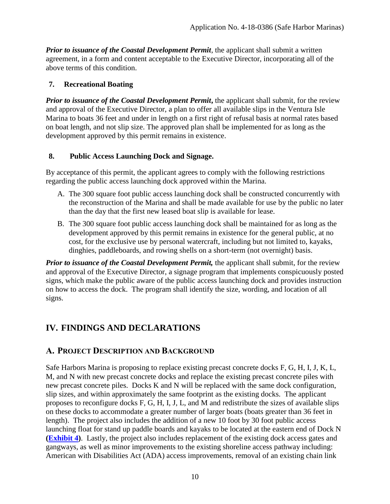*Prior to issuance of the Coastal Development Permit*, the applicant shall submit a written agreement, in a form and content acceptable to the Executive Director, incorporating all of the above terms of this condition.

#### <span id="page-9-0"></span>**7. Recreational Boating**

*Prior to issuance of the Coastal Development Permit***, the applicant shall submit, for the review** and approval of the Executive Director, a plan to offer all available slips in the Ventura Isle Marina to boats 36 feet and under in length on a first right of refusal basis at normal rates based on boat length, and not slip size. The approved plan shall be implemented for as long as the development approved by this permit remains in existence.

#### <span id="page-9-1"></span>**8. Public Access Launching Dock and Signage.**

By acceptance of this permit, the applicant agrees to comply with the following restrictions regarding the public access launching dock approved within the Marina.

- A. The 300 square foot public access launching dock shall be constructed concurrently with the reconstruction of the Marina and shall be made available for use by the public no later than the day that the first new leased boat slip is available for lease.
- B. The 300 square foot public access launching dock shall be maintained for as long as the development approved by this permit remains in existence for the general public, at no cost, for the exclusive use by personal watercraft, including but not limited to, kayaks, dinghies, paddleboards, and rowing shells on a short-term (not overnight) basis.

*Prior to issuance of the Coastal Development Permit, the applicant shall submit, for the review* and approval of the Executive Director, a signage program that implements conspicuously posted signs, which make the public aware of the public access launching dock and provides instruction on how to access the dock. The program shall identify the size, wording, and location of all signs.

## <span id="page-9-2"></span>**IV. FINDINGS AND DECLARATIONS**

### <span id="page-9-3"></span>**A. PROJECT DESCRIPTION AND BACKGROUND**

Safe Harbors Marina is proposing to replace existing precast concrete docks F, G, H, I, J, K, L, M, and N with new precast concrete docks and replace the existing precast concrete piles with new precast concrete piles. Docks K and N will be replaced with the same dock configuration, slip sizes, and within approximately the same footprint as the existing docks. The applicant proposes to reconfigure docks F, G, H, I, J, L, and M and redistribute the sizes of available slips on these docks to accommodate a greater number of larger boats (boats greater than 36 feet in length). The project also includes the addition of a new 10 foot by 30 foot public access launching float for stand up paddle boards and kayaks to be located at the eastern end of Dock N **[\(Exhibit](https://documents.coastal.ca.gov/reports/2019/6/W15a/W15a-6-2019-exhibits.pdf) 4)**. Lastly, the project also includes replacement of the existing dock access gates and gangways, as well as minor improvements to the existing shoreline access pathway including: American with Disabilities Act (ADA) access improvements, removal of an existing chain link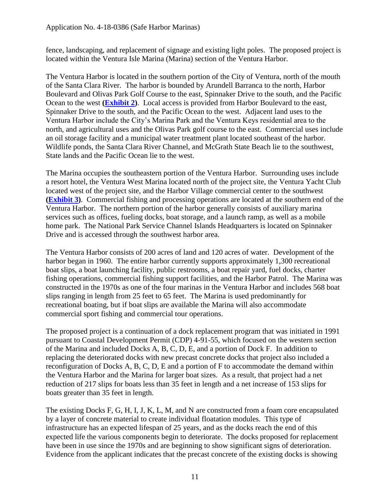fence, landscaping, and replacement of signage and existing light poles. The proposed project is located within the Ventura Isle Marina (Marina) section of the Ventura Harbor.

The Ventura Harbor is located in the southern portion of the City of Ventura, north of the mouth of the Santa Clara River. The harbor is bounded by Arundell Barranca to the north, Harbor Boulevard and Olivas Park Golf Course to the east, Spinnaker Drive to the south, and the Pacific Ocean to the west **[\(Exhibit](https://documents.coastal.ca.gov/reports/2019/6/W15a/W15a-6-2019-exhibits.pdf) 2)**. Local access is provided from Harbor Boulevard to the east, Spinnaker Drive to the south, and the Pacific Ocean to the west. Adjacent land uses to the Ventura Harbor include the City's Marina Park and the Ventura Keys residential area to the north, and agricultural uses and the Olivas Park golf course to the east. Commercial uses include an oil storage facility and a municipal water treatment plant located southeast of the harbor. Wildlife ponds, the Santa Clara River Channel, and McGrath State Beach lie to the southwest, State lands and the Pacific Ocean lie to the west.

The Marina occupies the southeastern portion of the Ventura Harbor. Surrounding uses include a resort hotel, the Ventura West Marina located north of the project site, the Ventura Yacht Club located west of the project site, and the Harbor Village commercial center to the southwest **[\(Exhibit](https://documents.coastal.ca.gov/reports/2019/6/W15a/W15a-6-2019-exhibits.pdf) 3)**. Commercial fishing and processing operations are located at the southern end of the Ventura Harbor. The northern portion of the harbor generally consists of auxiliary marina services such as offices, fueling docks, boat storage, and a launch ramp, as well as a mobile home park. The National Park Service Channel Islands Headquarters is located on Spinnaker Drive and is accessed through the southwest harbor area.

The Ventura Harbor consists of 200 acres of land and 120 acres of water. Development of the harbor began in 1960. The entire harbor currently supports approximately 1,300 recreational boat slips, a boat launching facility, public restrooms, a boat repair yard, fuel docks, charter fishing operations, commercial fishing support facilities, and the Harbor Patrol. The Marina was constructed in the 1970s as one of the four marinas in the Ventura Harbor and includes 568 boat slips ranging in length from 25 feet to 65 feet. The Marina is used predominantly for recreational boating, but if boat slips are available the Marina will also accommodate commercial sport fishing and commercial tour operations.

The proposed project is a continuation of a dock replacement program that was initiated in 1991 pursuant to Coastal Development Permit (CDP) 4-91-55, which focused on the western section of the Marina and included Docks A, B, C, D, E, and a portion of Dock F. In addition to replacing the deteriorated docks with new precast concrete docks that project also included a reconfiguration of Docks A, B, C, D, E and a portion of F to accommodate the demand within the Ventura Harbor and the Marina for larger boat sizes. As a result, that project had a net reduction of 217 slips for boats less than 35 feet in length and a net increase of 153 slips for boats greater than 35 feet in length.

The existing Docks F, G, H, I, J, K, L, M, and N are constructed from a foam core encapsulated by a layer of concrete material to create individual floatation modules. This type of infrastructure has an expected lifespan of 25 years, and as the docks reach the end of this expected life the various components begin to deteriorate. The docks proposed for replacement have been in use since the 1970s and are beginning to show significant signs of deterioration. Evidence from the applicant indicates that the precast concrete of the existing docks is showing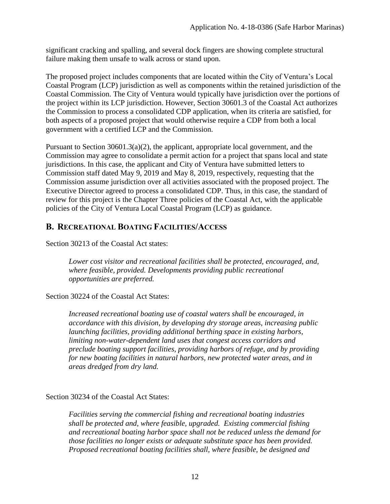significant cracking and spalling, and several dock fingers are showing complete structural failure making them unsafe to walk across or stand upon.

The proposed project includes components that are located within the City of Ventura's Local Coastal Program (LCP) jurisdiction as well as components within the retained jurisdiction of the Coastal Commission. The City of Ventura would typically have jurisdiction over the portions of the project within its LCP jurisdiction. However, Section 30601.3 of the Coastal Act authorizes the Commission to process a consolidated CDP application, when its criteria are satisfied, for both aspects of a proposed project that would otherwise require a CDP from both a local government with a certified LCP and the Commission.

Pursuant to Section 30601.3(a)(2), the applicant, appropriate local government, and the Commission may agree to consolidate a permit action for a project that spans local and state jurisdictions. In this case, the applicant and City of Ventura have submitted letters to Commission staff dated May 9, 2019 and May 8, 2019, respectively, requesting that the Commission assume jurisdiction over all activities associated with the proposed project. The Executive Director agreed to process a consolidated CDP. Thus, in this case, the standard of review for this project is the Chapter Three policies of the Coastal Act, with the applicable policies of the City of Ventura Local Coastal Program (LCP) as guidance.

### <span id="page-11-0"></span>**B. RECREATIONAL BOATING FACILITIES/ACCESS**

Section 30213 of the Coastal Act states:

*Lower cost visitor and recreational facilities shall be protected, encouraged, and, where feasible, provided. Developments providing public recreational opportunities are preferred.*

Section 30224 of the Coastal Act States:

*Increased recreational boating use of coastal waters shall be encouraged, in accordance with this division, by developing dry storage areas, increasing public launching facilities, providing additional berthing space in existing harbors, limiting non-water-dependent land uses that congest access corridors and preclude boating support facilities, providing harbors of refuge, and by providing for new boating facilities in natural harbors, new protected water areas, and in areas dredged from dry land.* 

Section 30234 of the Coastal Act States:

*Facilities serving the commercial fishing and recreational boating industries shall be protected and, where feasible, upgraded. Existing commercial fishing and recreational boating harbor space shall not be reduced unless the demand for those facilities no longer exists or adequate substitute space has been provided. Proposed recreational boating facilities shall, where feasible, be designed and*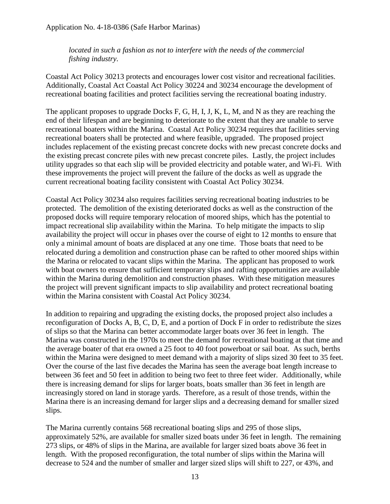*located in such a fashion as not to interfere with the needs of the commercial fishing industry.*

Coastal Act Policy 30213 protects and encourages lower cost visitor and recreational facilities. Additionally, Coastal Act Coastal Act Policy 30224 and 30234 encourage the development of recreational boating facilities and protect facilities serving the recreational boating industry.

The applicant proposes to upgrade Docks F, G, H, I, J, K, L, M, and N as they are reaching the end of their lifespan and are beginning to deteriorate to the extent that they are unable to serve recreational boaters within the Marina. Coastal Act Policy 30234 requires that facilities serving recreational boaters shall be protected and where feasible, upgraded. The proposed project includes replacement of the existing precast concrete docks with new precast concrete docks and the existing precast concrete piles with new precast concrete piles. Lastly, the project includes utility upgrades so that each slip will be provided electricity and potable water, and Wi-Fi. With these improvements the project will prevent the failure of the docks as well as upgrade the current recreational boating facility consistent with Coastal Act Policy 30234.

Coastal Act Policy 30234 also requires facilities serving recreational boating industries to be protected. The demolition of the existing deteriorated docks as well as the construction of the proposed docks will require temporary relocation of moored ships, which has the potential to impact recreational slip availability within the Marina. To help mitigate the impacts to slip availability the project will occur in phases over the course of eight to 12 months to ensure that only a minimal amount of boats are displaced at any one time. Those boats that need to be relocated during a demolition and construction phase can be rafted to other moored ships within the Marina or relocated to vacant slips within the Marina. The applicant has proposed to work with boat owners to ensure that sufficient temporary slips and rafting opportunities are available within the Marina during demolition and construction phases. With these mitigation measures the project will prevent significant impacts to slip availability and protect recreational boating within the Marina consistent with Coastal Act Policy 30234.

In addition to repairing and upgrading the existing docks, the proposed project also includes a reconfiguration of Docks A, B, C, D, E, and a portion of Dock F in order to redistribute the sizes of slips so that the Marina can better accommodate larger boats over 36 feet in length. The Marina was constructed in the 1970s to meet the demand for recreational boating at that time and the average boater of that era owned a 25 foot to 40 foot powerboat or sail boat. As such, berths within the Marina were designed to meet demand with a majority of slips sized 30 feet to 35 feet. Over the course of the last five decades the Marina has seen the average boat length increase to between 36 feet and 50 feet in addition to being two feet to three feet wider. Additionally, while there is increasing demand for slips for larger boats, boats smaller than 36 feet in length are increasingly stored on land in storage yards. Therefore, as a result of those trends, within the Marina there is an increasing demand for larger slips and a decreasing demand for smaller sized slips.

The Marina currently contains 568 recreational boating slips and 295 of those slips, approximately 52%, are available for smaller sized boats under 36 feet in length. The remaining 273 slips, or 48% of slips in the Marina, are available for larger sized boats above 36 feet in length. With the proposed reconfiguration, the total number of slips within the Marina will decrease to 524 and the number of smaller and larger sized slips will shift to 227, or 43%, and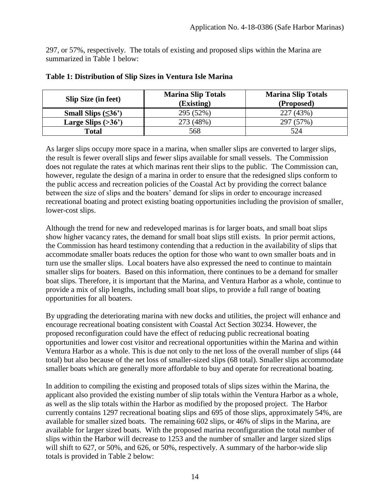297, or 57%, respectively. The totals of existing and proposed slips within the Marina are summarized in Table 1 below:

| <b>Slip Size (in feet)</b> | <b>Marina Slip Totals</b><br>(Existing) | <b>Marina Slip Totals</b><br>(Proposed) |  |  |  |
|----------------------------|-----------------------------------------|-----------------------------------------|--|--|--|
| Small Slips $(\leq36')$    | 295 (52%)                               | 227 (43%)                               |  |  |  |
| Large Slips $(>36)$        | 273 (48%)                               | 297 (57%)                               |  |  |  |
| <b>Total</b>               | 568                                     | 524                                     |  |  |  |

#### **Table 1: Distribution of Slip Sizes in Ventura Isle Marina**

As larger slips occupy more space in a marina, when smaller slips are converted to larger slips, the result is fewer overall slips and fewer slips available for small vessels. The Commission does not regulate the rates at which marinas rent their slips to the public. The Commission can, however, regulate the design of a marina in order to ensure that the redesigned slips conform to the public access and recreation policies of the Coastal Act by providing the correct balance between the size of slips and the boaters' demand for slips in order to encourage increased recreational boating and protect existing boating opportunities including the provision of smaller, lower-cost slips.

Although the trend for new and redeveloped marinas is for larger boats, and small boat slips show higher vacancy rates, the demand for small boat slips still exists. In prior permit actions, the Commission has heard testimony contending that a reduction in the availability of slips that accommodate smaller boats reduces the option for those who want to own smaller boats and in turn use the smaller slips. Local boaters have also expressed the need to continue to maintain smaller slips for boaters. Based on this information, there continues to be a demand for smaller boat slips. Therefore, it is important that the Marina, and Ventura Harbor as a whole, continue to provide a mix of slip lengths, including small boat slips, to provide a full range of boating opportunities for all boaters.

By upgrading the deteriorating marina with new docks and utilities, the project will enhance and encourage recreational boating consistent with Coastal Act Section 30234. However, the proposed reconfiguration could have the effect of reducing public recreational boating opportunities and lower cost visitor and recreational opportunities within the Marina and within Ventura Harbor as a whole. This is due not only to the net loss of the overall number of slips (44 total) but also because of the net loss of smaller-sized slips (68 total). Smaller slips accommodate smaller boats which are generally more affordable to buy and operate for recreational boating.

In addition to compiling the existing and proposed totals of slips sizes within the Marina, the applicant also provided the existing number of slip totals within the Ventura Harbor as a whole, as well as the slip totals within the Harbor as modified by the proposed project. The Harbor currently contains 1297 recreational boating slips and 695 of those slips, approximately 54%, are available for smaller sized boats. The remaining 602 slips, or 46% of slips in the Marina, are available for larger sized boats. With the proposed marina reconfiguration the total number of slips within the Harbor will decrease to 1253 and the number of smaller and larger sized slips will shift to 627, or 50%, and 626, or 50%, respectively. A summary of the harbor-wide slip totals is provided in Table 2 below: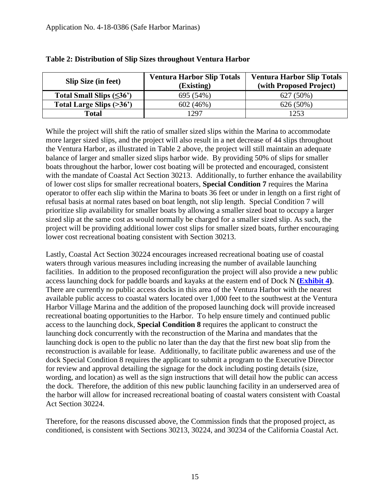| <b>Slip Size (in feet)</b>    | <b>Ventura Harbor Slip Totals</b> | <b>Ventura Harbor Slip Totals</b> |  |  |  |
|-------------------------------|-----------------------------------|-----------------------------------|--|--|--|
|                               | (Existing)                        | (with Proposed Project)           |  |  |  |
| Total Small Slips $(\leq36')$ | 695 (54%)                         | $627(50\%)$                       |  |  |  |
| Total Large Slips (>36')      | 602(46%)                          | 626 (50%)                         |  |  |  |
| <b>Total</b>                  | 1297                              | 1253                              |  |  |  |

#### **Table 2: Distribution of Slip Sizes throughout Ventura Harbor**

While the project will shift the ratio of smaller sized slips within the Marina to accommodate more larger sized slips, and the project will also result in a net decrease of 44 slips throughout the Ventura Harbor, as illustrated in Table 2 above, the project will still maintain an adequate balance of larger and smaller sized slips harbor wide. By providing 50% of slips for smaller boats throughout the harbor, lower cost boating will be protected and encouraged, consistent with the mandate of Coastal Act Section 30213. Additionally, to further enhance the availability of lower cost slips for smaller recreational boaters, **Special Condition 7** requires the Marina operator to offer each slip within the Marina to boats 36 feet or under in length on a first right of refusal basis at normal rates based on boat length, not slip length. Special Condition 7 will prioritize slip availability for smaller boats by allowing a smaller sized boat to occupy a larger sized slip at the same cost as would normally be charged for a smaller sized slip. As such, the project will be providing additional lower cost slips for smaller sized boats, further encouraging lower cost recreational boating consistent with Section 30213.

Lastly, Coastal Act Section 30224 encourages increased recreational boating use of coastal waters through various measures including increasing the number of available launching facilities. In addition to the proposed reconfiguration the project will also provide a new public access launching dock for paddle boards and kayaks at the eastern end of Dock N **[\(Exhibit](https://documents.coastal.ca.gov/reports/2019/6/W15a/W15a-6-2019-exhibits.pdf) 4)**. There are currently no public access docks in this area of the Ventura Harbor with the nearest available public access to coastal waters located over 1,000 feet to the southwest at the Ventura Harbor Village Marina and the addition of the proposed launching dock will provide increased recreational boating opportunities to the Harbor. To help ensure timely and continued public access to the launching dock, **Special Condition 8** requires the applicant to construct the launching dock concurrently with the reconstruction of the Marina and mandates that the launching dock is open to the public no later than the day that the first new boat slip from the reconstruction is available for lease. Additionally, to facilitate public awareness and use of the dock Special Condition 8 requires the applicant to submit a program to the Executive Director for review and approval detailing the signage for the dock including posting details (size, wording, and location) as well as the sign instructions that will detail how the public can access the dock. Therefore, the addition of this new public launching facility in an underserved area of the harbor will allow for increased recreational boating of coastal waters consistent with Coastal Act Section 30224.

Therefore, for the reasons discussed above, the Commission finds that the proposed project, as conditioned, is consistent with Sections 30213, 30224, and 30234 of the California Coastal Act.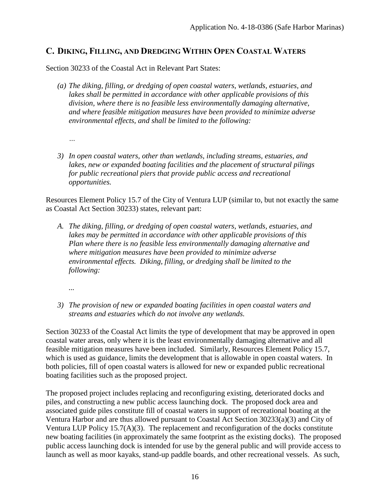### <span id="page-15-0"></span>**C. DIKING, FILLING, AND DREDGING WITHIN OPEN COASTAL WATERS**

Section 30233 of the Coastal Act in Relevant Part States:

- *(a) The diking, filling, or dredging of open coastal waters, wetlands, estuaries, and lakes shall be permitted in accordance with other applicable provisions of this division, where there is no feasible less environmentally damaging alternative, and where feasible mitigation measures have been provided to minimize adverse environmental effects, and shall be limited to the following:* 
	- *…*
- *3) In open coastal waters, other than wetlands, including streams, estuaries, and lakes, new or expanded boating facilities and the placement of structural pilings for public recreational piers that provide public access and recreational opportunities.*

Resources Element Policy 15.7 of the City of Ventura LUP (similar to, but not exactly the same as Coastal Act Section 30233) states, relevant part:

- *A. The diking, filling, or dredging of open coastal waters, wetlands, estuaries, and lakes may be permitted in accordance with other applicable provisions of this Plan where there is no feasible less environmentally damaging alternative and where mitigation measures have been provided to minimize adverse environmental effects. Diking, filling, or dredging shall be limited to the following:* 
	- *...*
- *3) The provision of new or expanded boating facilities in open coastal waters and streams and estuaries which do not involve any wetlands.*

Section 30233 of the Coastal Act limits the type of development that may be approved in open coastal water areas, only where it is the least environmentally damaging alternative and all feasible mitigation measures have been included. Similarly, Resources Element Policy 15.7, which is used as guidance, limits the development that is allowable in open coastal waters. In both policies, fill of open coastal waters is allowed for new or expanded public recreational boating facilities such as the proposed project.

The proposed project includes replacing and reconfiguring existing, deteriorated docks and piles, and constructing a new public access launching dock. The proposed dock area and associated guide piles constitute fill of coastal waters in support of recreational boating at the Ventura Harbor and are thus allowed pursuant to Coastal Act Section 30233(a)(3) and City of Ventura LUP Policy 15.7(A)(3). The replacement and reconfiguration of the docks constitute new boating facilities (in approximately the same footprint as the existing docks). The proposed public access launching dock is intended for use by the general public and will provide access to launch as well as moor kayaks, stand-up paddle boards, and other recreational vessels. As such,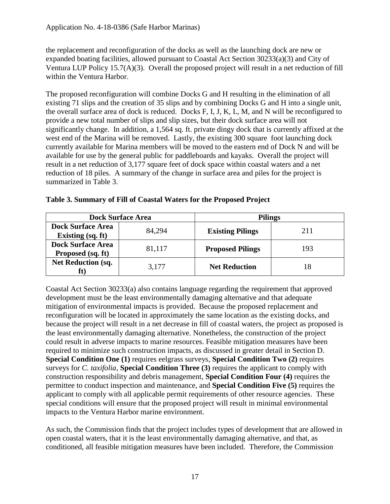the replacement and reconfiguration of the docks as well as the launching dock are new or expanded boating facilities, allowed pursuant to Coastal Act Section 30233(a)(3) and City of Ventura LUP Policy 15.7(A)(3). Overall the proposed project will result in a net reduction of fill within the Ventura Harbor.

The proposed reconfiguration will combine Docks G and H resulting in the elimination of all existing 71 slips and the creation of 35 slips and by combining Docks G and H into a single unit, the overall surface area of dock is reduced. Docks F, I, J, K, L, M, and N will be reconfigured to provide a new total number of slips and slip sizes, but their dock surface area will not significantly change. In addition, a 1,564 sq. ft. private dingy dock that is currently affixed at the west end of the Marina will be removed. Lastly, the existing 300 square foot launching dock currently available for Marina members will be moved to the eastern end of Dock N and will be available for use by the general public for paddleboards and kayaks. Overall the project will result in a net reduction of 3,177 square feet of dock space within coastal waters and a net reduction of 18 piles. A summary of the change in surface area and piles for the project is summarized in Table 3.

|                                                      | <b>Dock Surface Area</b> | <b>Pilings</b>          |     |  |  |
|------------------------------------------------------|--------------------------|-------------------------|-----|--|--|
| <b>Dock Surface Area</b><br><b>Existing</b> (sq. ft) | 84,294                   | <b>Existing Pilings</b> | 211 |  |  |
| <b>Dock Surface Area</b><br>Proposed (sq. ft)        | 81,117                   | <b>Proposed Pilings</b> | 193 |  |  |
| <b>Net Reduction (sq.</b><br>ΙU,                     | 3,177                    | <b>Net Reduction</b>    | 18  |  |  |

|  | Table 3. Summary of Fill of Coastal Waters for the Proposed Project |  |  |  |  |  |
|--|---------------------------------------------------------------------|--|--|--|--|--|

Coastal Act Section 30233(a) also contains language regarding the requirement that approved development must be the least environmentally damaging alternative and that adequate mitigation of environmental impacts is provided. Because the proposed replacement and reconfiguration will be located in approximately the same location as the existing docks, and because the project will result in a net decrease in fill of coastal waters, the project as proposed is the least environmentally damaging alternative. Nonetheless, the construction of the project could result in adverse impacts to marine resources. Feasible mitigation measures have been required to minimize such construction impacts, as discussed in greater detail in Section D. **Special Condition One (1)** requires eelgrass surveys, **Special Condition Two (2)** requires surveys for *C. taxifolia*, **Special Condition Three (3)** requires the applicant to comply with construction responsibility and debris management, **Special Condition Four (4)** requires the permittee to conduct inspection and maintenance, and **Special Condition Five (5)** requires the applicant to comply with all applicable permit requirements of other resource agencies. These special conditions will ensure that the proposed project will result in minimal environmental impacts to the Ventura Harbor marine environment.

As such, the Commission finds that the project includes types of development that are allowed in open coastal waters, that it is the least environmentally damaging alternative, and that, as conditioned, all feasible mitigation measures have been included. Therefore, the Commission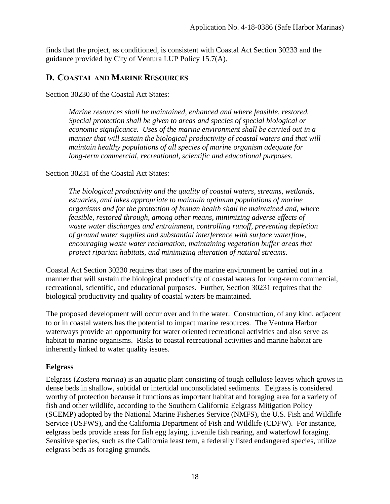finds that the project, as conditioned, is consistent with Coastal Act Section 30233 and the guidance provided by City of Ventura LUP Policy 15.7(A).

### <span id="page-17-0"></span>**D. COASTAL AND MARINE RESOURCES**

Section 30230 of the Coastal Act States:

*Marine resources shall be maintained, enhanced and where feasible, restored. Special protection shall be given to areas and species of special biological or economic significance. Uses of the marine environment shall be carried out in a manner that will sustain the biological productivity of coastal waters and that will maintain healthy populations of all species of marine organism adequate for long-term commercial, recreational, scientific and educational purposes.*

#### Section 30231 of the Coastal Act States:

*The biological productivity and the quality of coastal waters, streams, wetlands, estuaries, and lakes appropriate to maintain optimum populations of marine organisms and for the protection of human health shall be maintained and, where feasible, restored through, among other means, minimizing adverse effects of waste water discharges and entrainment, controlling runoff, preventing depletion of ground water supplies and substantial interference with surface waterflow, encouraging waste water reclamation, maintaining vegetation buffer areas that protect riparian habitats, and minimizing alteration of natural streams.*

Coastal Act Section 30230 requires that uses of the marine environment be carried out in a manner that will sustain the biological productivity of coastal waters for long-term commercial, recreational, scientific, and educational purposes. Further, Section 30231 requires that the biological productivity and quality of coastal waters be maintained.

The proposed development will occur over and in the water. Construction, of any kind, adjacent to or in coastal waters has the potential to impact marine resources. The Ventura Harbor waterways provide an opportunity for water oriented recreational activities and also serve as habitat to marine organisms. Risks to coastal recreational activities and marine habitat are inherently linked to water quality issues.

#### **Eelgrass**

Eelgrass (*Zostera marina*) is an aquatic plant consisting of tough cellulose leaves which grows in dense beds in shallow, subtidal or intertidal unconsolidated sediments. Eelgrass is considered worthy of protection because it functions as important habitat and foraging area for a variety of fish and other wildlife, according to the Southern California Eelgrass Mitigation Policy (SCEMP) adopted by the National Marine Fisheries Service (NMFS), the U.S. Fish and Wildlife Service (USFWS), and the California Department of Fish and Wildlife (CDFW). For instance, eelgrass beds provide areas for fish egg laying, juvenile fish rearing, and waterfowl foraging. Sensitive species, such as the California least tern, a federally listed endangered species, utilize eelgrass beds as foraging grounds.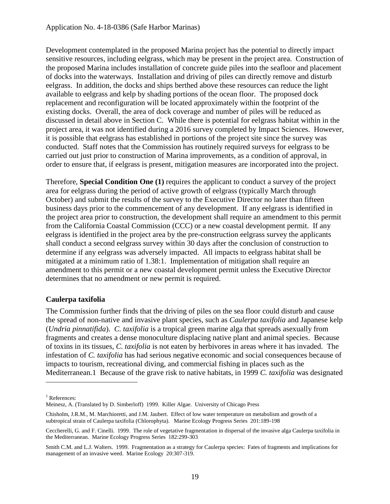Development contemplated in the proposed Marina project has the potential to directly impact sensitive resources, including eelgrass, which may be present in the project area. Construction of the proposed Marina includes installation of concrete guide piles into the seafloor and placement of docks into the waterways. Installation and driving of piles can directly remove and disturb eelgrass. In addition, the docks and ships berthed above these resources can reduce the light available to eelgrass and kelp by shading portions of the ocean floor. The proposed dock replacement and reconfiguration will be located approximately within the footprint of the existing docks. Overall, the area of dock coverage and number of piles will be reduced as discussed in detail above in Section C. While there is potential for eelgrass habitat within in the project area, it was not identified during a 2016 survey completed by Impact Sciences. However, it is possible that eelgrass has established in portions of the project site since the survey was conducted. Staff notes that the Commission has routinely required surveys for eelgrass to be carried out just prior to construction of Marina improvements, as a condition of approval, in order to ensure that, if eelgrass is present, mitigation measures are incorporated into the project.

Therefore, **Special Condition One (1)** requires the applicant to conduct a survey of the project area for eelgrass during the period of active growth of eelgrass (typically March through October) and submit the results of the survey to the Executive Director no later than fifteen business days prior to the commencement of any development. If any eelgrass is identified in the project area prior to construction, the development shall require an amendment to this permit from the California Coastal Commission (CCC) or a new coastal development permit. If any eelgrass is identified in the project area by the pre-construction eelgrass survey the applicants shall conduct a second eelgrass survey within 30 days after the conclusion of construction to determine if any eelgrass was adversely impacted. All impacts to eelgrass habitat shall be mitigated at a minimum ratio of 1.38:1. Implementation of mitigation shall require an amendment to this permit or a new coastal development permit unless the Executive Director determines that no amendment or new permit is required.

#### **Caulerpa taxifolia**

The Commission further finds that the driving of piles on the sea floor could disturb and cause the spread of non-native and invasive plant species, such as *Caulerpa taxifolia* and Japanese kelp (*Undria pinnatifida*). *C. taxifolia* is a tropical green marine alga that spreads asexually from fragments and creates a dense monoculture displacing native plant and animal species. Because of toxins in its tissues, *C. taxifolia* is not eaten by herbivores in areas where it has invaded. The infestation of *C. taxifolia* has had serious negative economic and social consequences because of impacts to tourism, recreational diving, and commercial fishing in places such as the Mediterranean.1 Because of the grave risk to native habitats, in 1999 *C. taxifolia* was designated

 $\overline{a}$ 

<sup>&</sup>lt;sup>1</sup> References:

Meinesz, A. (Translated by D. Simberloff) 1999. Killer Algae. University of Chicago Press

Chisholm, J.R.M., M. Marchioretti, and J.M. Jaubert. Effect of low water temperature on metabolism and growth of a subtropical strain of Caulerpa taxifolia (Chlorophyta). Marine Ecology Progress Series 201:189-198

Ceccherelli, G. and F. Cinelli. 1999. The role of vegetative fragmentation in dispersal of the invasive alga Caulerpa taxifolia in the Mediterranean. Marine Ecology Progress Series 182:299-303

Smith C.M. and L.J. Walters. 1999. Fragmentation as a strategy for Caulerpa species: Fates of fragments and implications for management of an invasive weed. Marine Ecology 20:307-319.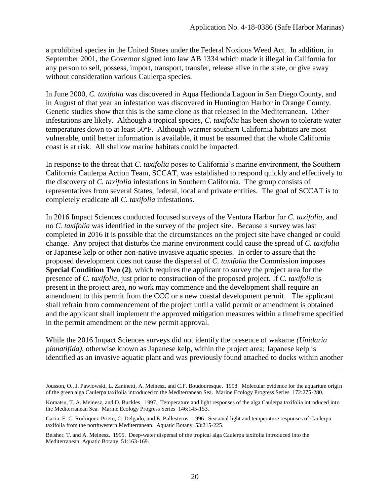a prohibited species in the United States under the Federal Noxious Weed Act. In addition, in September 2001, the Governor signed into law AB 1334 which made it illegal in California for any person to sell, possess, import, transport, transfer, release alive in the state, or give away without consideration various Caulerpa species.

In June 2000, *C. taxifolia* was discovered in Aqua Hedionda Lagoon in San Diego County, and in August of that year an infestation was discovered in Huntington Harbor in Orange County. Genetic studies show that this is the same clone as that released in the Mediterranean. Other infestations are likely. Although a tropical species, *C. taxifolia* has been shown to tolerate water temperatures down to at least 50ºF. Although warmer southern California habitats are most vulnerable, until better information is available, it must be assumed that the whole California coast is at risk. All shallow marine habitats could be impacted.

In response to the threat that *C. taxifolia* poses to California's marine environment, the Southern California Caulerpa Action Team, SCCAT, was established to respond quickly and effectively to the discovery of *C. taxifolia* infestations in Southern California. The group consists of representatives from several States, federal, local and private entities. The goal of SCCAT is to completely eradicate all *C. taxifolia* infestations.

In 2016 Impact Sciences conducted focused surveys of the Ventura Harbor for *C. taxifolia*, and no *C. taxifolia* was identified in the survey of the project site. Because a survey was last completed in 2016 it is possible that the circumstances on the project site have changed or could change. Any project that disturbs the marine environment could cause the spread of *C. taxifolia* or Japanese kelp or other non-native invasive aquatic species. In order to assure that the proposed development does not cause the dispersal of *C. taxifolia* the Commission imposes **Special Condition Two** (2), which requires the applicant to survey the project area for the presence of *C. taxifolia*, just prior to construction of the proposed project. If *C. taxifolia* is present in the project area, no work may commence and the development shall require an amendment to this permit from the CCC or a new coastal development permit. The applicant shall refrain from commencement of the project until a valid permit or amendment is obtained and the applicant shall implement the approved mitigation measures within a timeframe specified in the permit amendment or the new permit approval.

While the 2016 Impact Sciences surveys did not identify the presence of wakame *(Unidaria pinnatifida)*, otherwise known as Japanese kelp, within the project area; Japanese kelp is identified as an invasive aquatic plant and was previously found attached to docks within another

 $\overline{a}$ 

Jousson, O., J. Pawlowski, L. Zaninetti, A. Meinesz, and C.F. Boudouresque. 1998. Molecular evidence for the aquarium origin of the green alga Caulerpa taxifolia introduced to the Mediterranean Sea. Marine Ecology Progress Series 172:275-280.

Komatsu, T. A. Meinesz, and D. Buckles. 1997. Temperature and light responses of the alga Caulerpa taxifolia introduced into the Mediterranean Sea. Marine Ecology Progress Series 146:145-153.

Gacia, E. C. Rodriquez-Prieto, O. Delgado, and E. Ballesteros. 1996. Seasonal light and temperature responses of Caulerpa taxifolia from the northwestern Mediterranean. Aquatic Botany 53:215-225.

Belsher, T. and A. Meinesz. 1995. Deep-water dispersal of the tropical alga Caulerpa taxifolia introduced into the Mediterranean. Aquatic Botany 51:163-169.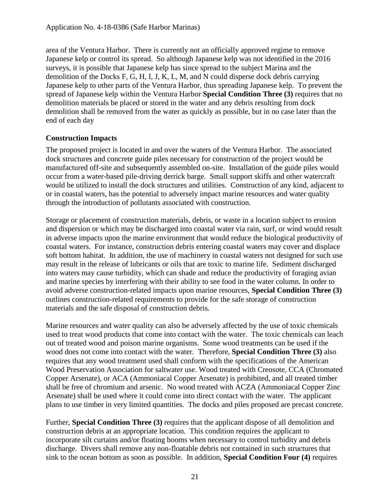area of the Ventura Harbor. There is currently not an officially approved regime to remove Japanese kelp or control its spread. So although Japanese kelp was not identified in the 2016 surveys, it is possible that Japanese kelp has since spread to the subject Marina and the demolition of the Docks F, G, H, I, J, K, L, M, and N could disperse dock debris carrying Japanese kelp to other parts of the Ventura Harbor, thus spreading Japanese kelp. To prevent the spread of Japanese kelp within the Ventura Harbor **Special Condition Three (3)** requires that no demolition materials be placed or stored in the water and any debris resulting from dock demolition shall be removed from the water as quickly as possible, but in no case later than the end of each day

#### **Construction Impacts**

The proposed project is located in and over the waters of the Ventura Harbor. The associated dock structures and concrete guide piles necessary for construction of the project would be manufactured off-site and subsequently assembled on-site. Installation of the guide piles would occur from a water-based pile-driving derrick barge. Small support skiffs and other watercraft would be utilized to install the dock structures and utilities. Construction of any kind, adjacent to or in coastal waters, has the potential to adversely impact marine resources and water quality through the introduction of pollutants associated with construction.

Storage or placement of construction materials, debris, or waste in a location subject to erosion and dispersion or which may be discharged into coastal water via rain, surf, or wind would result in adverse impacts upon the marine environment that would reduce the biological productivity of coastal waters. For instance, construction debris entering coastal waters may cover and displace soft bottom habitat. In addition, the use of machinery in coastal waters not designed for such use may result in the release of lubricants or oils that are toxic to marine life. Sediment discharged into waters may cause turbidity, which can shade and reduce the productivity of foraging avian and marine species by interfering with their ability to see food in the water column. In order to avoid adverse construction-related impacts upon marine resources, **Special Condition Three (3)** outlines construction-related requirements to provide for the safe storage of construction materials and the safe disposal of construction debris.

Marine resources and water quality can also be adversely affected by the use of toxic chemicals used to treat wood products that come into contact with the water. The toxic chemicals can leach out of treated wood and poison marine organisms. Some wood treatments can be used if the wood does not come into contact with the water. Therefore, **Special Condition Three (3)** also requires that any wood treatment used shall conform with the specifications of the American Wood Preservation Association for saltwater use. Wood treated with Creosote, CCA (Chromated Copper Arsenate), or ACA (Ammoniacal Copper Arsenate) is prohibited, and all treated timber shall be free of chromium and arsenic. No wood treated with ACZA (Ammoniacal Copper Zinc Arsenate) shall be used where it could come into direct contact with the water. The applicant plans to use timber in very limited quantities. The docks and piles proposed are precast concrete.

Further, **Special Condition Three (3)** requires that the applicant dispose of all demolition and construction debris at an appropriate location. This condition requires the applicant to incorporate silt curtains and/or floating booms when necessary to control turbidity and debris discharge. Divers shall remove any non-floatable debris not contained in such structures that sink to the ocean bottom as soon as possible. In addition, **Special Condition Four (4)** requires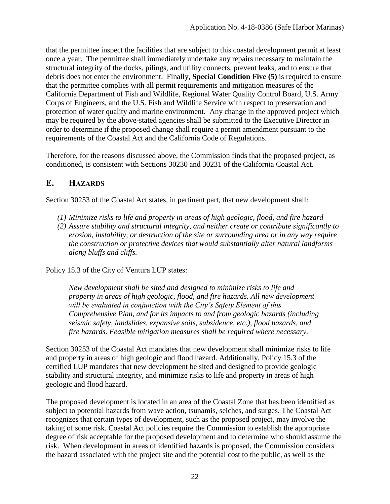that the permittee inspect the facilities that are subject to this coastal development permit at least once a year. The permittee shall immediately undertake any repairs necessary to maintain the structural integrity of the docks, pilings, and utility connects, prevent leaks, and to ensure that debris does not enter the environment. Finally, **Special Condition Five (5)** is required to ensure that the permittee complies with all permit requirements and mitigation measures of the California Department of Fish and Wildlife, Regional Water Quality Control Board, U.S. Army Corps of Engineers, and the U.S. Fish and Wildlife Service with respect to preservation and protection of water quality and marine environment. Any change in the approved project which may be required by the above-stated agencies shall be submitted to the Executive Director in order to determine if the proposed change shall require a permit amendment pursuant to the requirements of the Coastal Act and the California Code of Regulations.

Therefore, for the reasons discussed above, the Commission finds that the proposed project, as conditioned, is consistent with Sections 30230 and 30231 of the California Coastal Act.

### <span id="page-21-0"></span>**E. HAZARDS**

Section 30253 of the Coastal Act states, in pertinent part, that new development shall:

- *(1) Minimize risks to life and property in areas of high geologic, flood, and fire hazard*
- *(2) Assure stability and structural integrity, and neither create or contribute significantly to erosion, instability, or destruction of the site or surrounding area or in any way require the construction or protective devices that would substantially alter natural landforms along bluffs and cliffs.*

Policy 15.3 of the City of Ventura LUP states:

*New development shall be sited and designed to minimize risks to life and property in areas of high geologic, flood, and fire hazards. All new development will be evaluated in conjunction with the City's Safety Element of this Comprehensive Plan, and for its impacts to and from geologic hazards (including seismic safety, landslides, expansive soils, subsidence, etc.), flood hazards, and fire hazards. Feasible mitigation measures shall be required where necessary.*

Section 30253 of the Coastal Act mandates that new development shall minimize risks to life and property in areas of high geologic and flood hazard. Additionally, Policy 15.3 of the certified LUP mandates that new development be sited and designed to provide geologic stability and structural integrity, and minimize risks to life and property in areas of high geologic and flood hazard.

The proposed development is located in an area of the Coastal Zone that has been identified as subject to potential hazards from wave action, tsunamis, seiches, and surges. The Coastal Act recognizes that certain types of development, such as the proposed project, may involve the taking of some risk. Coastal Act policies require the Commission to establish the appropriate degree of risk acceptable for the proposed development and to determine who should assume the risk. When development in areas of identified hazards is proposed, the Commission considers the hazard associated with the project site and the potential cost to the public, as well as the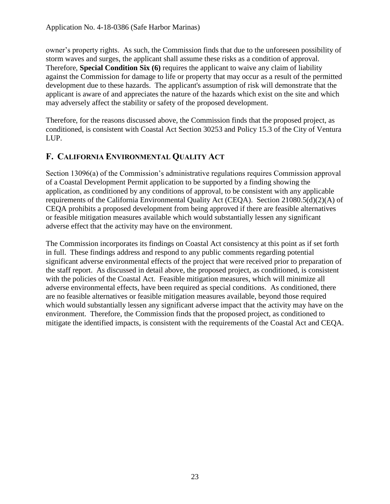owner's property rights. As such, the Commission finds that due to the unforeseen possibility of storm waves and surges, the applicant shall assume these risks as a condition of approval. Therefore, **Special Condition Six (6)** requires the applicant to waive any claim of liability against the Commission for damage to life or property that may occur as a result of the permitted development due to these hazards. The applicant's assumption of risk will demonstrate that the applicant is aware of and appreciates the nature of the hazards which exist on the site and which may adversely affect the stability or safety of the proposed development.

Therefore, for the reasons discussed above, the Commission finds that the proposed project, as conditioned, is consistent with Coastal Act Section 30253 and Policy 15.3 of the City of Ventura LUP.

### <span id="page-22-0"></span>**F. CALIFORNIA ENVIRONMENTAL QUALITY ACT**

Section 13096(a) of the Commission's administrative regulations requires Commission approval of a Coastal Development Permit application to be supported by a finding showing the application, as conditioned by any conditions of approval, to be consistent with any applicable requirements of the California Environmental Quality Act (CEQA). Section 21080.5(d)(2)(A) of CEQA prohibits a proposed development from being approved if there are feasible alternatives or feasible mitigation measures available which would substantially lessen any significant adverse effect that the activity may have on the environment.

The Commission incorporates its findings on Coastal Act consistency at this point as if set forth in full. These findings address and respond to any public comments regarding potential significant adverse environmental effects of the project that were received prior to preparation of the staff report. As discussed in detail above, the proposed project, as conditioned, is consistent with the policies of the Coastal Act. Feasible mitigation measures, which will minimize all adverse environmental effects, have been required as special conditions. As conditioned, there are no feasible alternatives or feasible mitigation measures available, beyond those required which would substantially lessen any significant adverse impact that the activity may have on the environment. Therefore, the Commission finds that the proposed project, as conditioned to mitigate the identified impacts, is consistent with the requirements of the Coastal Act and CEQA.